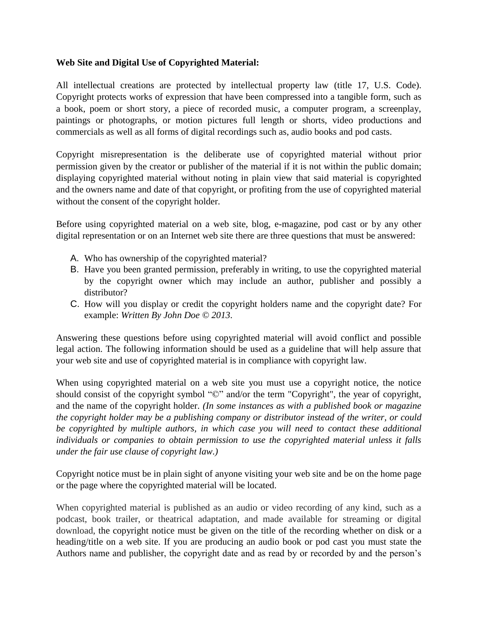## **Web Site and Digital Use of Copyrighted Material:**

All intellectual creations are protected by intellectual property law (title 17, U.S. Code). Copyright protects works of expression that have been compressed into a tangible form, such as a book, poem or short story, a piece of recorded music, a computer program, a screenplay, paintings or photographs, or motion pictures full length or shorts, video productions and commercials as well as all forms of digital recordings such as, audio books and pod casts.

Copyright misrepresentation is the deliberate use of copyrighted material without prior permission given by the creator or publisher of the material if it is not within the public domain; displaying copyrighted material without noting in plain view that said material is copyrighted and the owners name and date of that copyright, or profiting from the use of copyrighted material without the consent of the copyright holder.

Before using copyrighted material on a web site, blog, e-magazine, pod cast or by any other digital representation or on an Internet web site there are three questions that must be answered:

- A. Who has ownership of the copyrighted material?
- B. Have you been granted permission, preferably in writing, to use the copyrighted material by the copyright owner which may include an author, publisher and possibly a distributor?
- C. How will you display or credit the copyright holders name and the copyright date? For example: *Written By John Doe © 2013*.

Answering these questions before using copyrighted material will avoid conflict and possible legal action. The following information should be used as a guideline that will help assure that your web site and use of copyrighted material is in compliance with copyright law.

When using copyrighted material on a web site you must use a copyright notice, the notice should consist of the copyright symbol " $\mathbb{C}$ " and/or the term "Copyright", the year of copyright, and the name of the copyright holder. *(In some instances as with a published book or magazine the copyright holder may be a publishing company or distributor instead of the writer, or could be copyrighted by multiple authors, in which case you will need to contact these additional individuals or companies to obtain permission to use the copyrighted material unless it falls under the fair use clause of copyright law.)*

Copyright notice must be in plain sight of anyone visiting your web site and be on the home page or the page where the copyrighted material will be located.

When copyrighted material is published as an audio or video recording of any kind, such as a podcast, book trailer, or theatrical adaptation, and made available for streaming or digital download, the copyright notice must be given on the title of the recording whether on disk or a heading/title on a web site. If you are producing an audio book or pod cast you must state the Authors name and publisher, the copyright date and as read by or recorded by and the person's